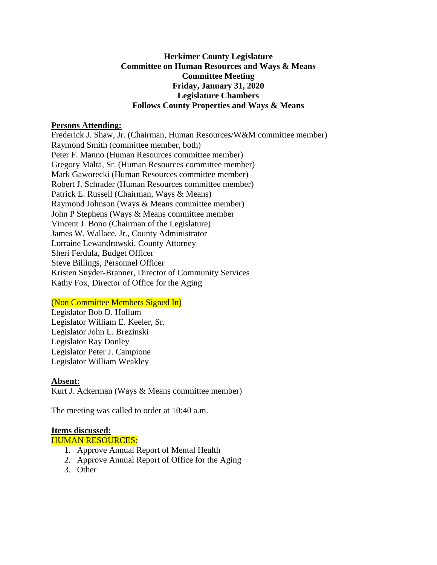### **Herkimer County Legislature Committee on Human Resources and Ways & Means Committee Meeting Friday, January 31, 2020 Legislature Chambers Follows County Properties and Ways & Means**

#### **Persons Attending:**

Frederick J. Shaw, Jr. (Chairman, Human Resources/W&M committee member) Raymond Smith (committee member, both) Peter F. Manno (Human Resources committee member) Gregory Malta, Sr. (Human Resources committee member) Mark Gaworecki (Human Resources committee member) Robert J. Schrader (Human Resources committee member) Patrick E. Russell (Chairman, Ways & Means) Raymond Johnson (Ways & Means committee member) John P Stephens (Ways & Means committee member Vincent J. Bono (Chairman of the Legislature) James W. Wallace, Jr., County Administrator Lorraine Lewandrowski, County Attorney Sheri Ferdula, Budget Officer Steve Billings, Personnel Officer Kristen Snyder-Branner, Director of Community Services Kathy Fox, Director of Office for the Aging

## (Non Committee Members Signed In)

Legislator Bob D. Hollum Legislator William E. Keeler, Sr. Legislator John L. Brezinski Legislator Ray Donley Legislator Peter J. Campione Legislator William Weakley

#### **Absent:**

Kurt J. Ackerman (Ways & Means committee member)

The meeting was called to order at 10:40 a.m.

#### **Items discussed:**

HUMAN RESOURCES:

- 1. Approve Annual Report of Mental Health
- 2. Approve Annual Report of Office for the Aging
- 3. Other